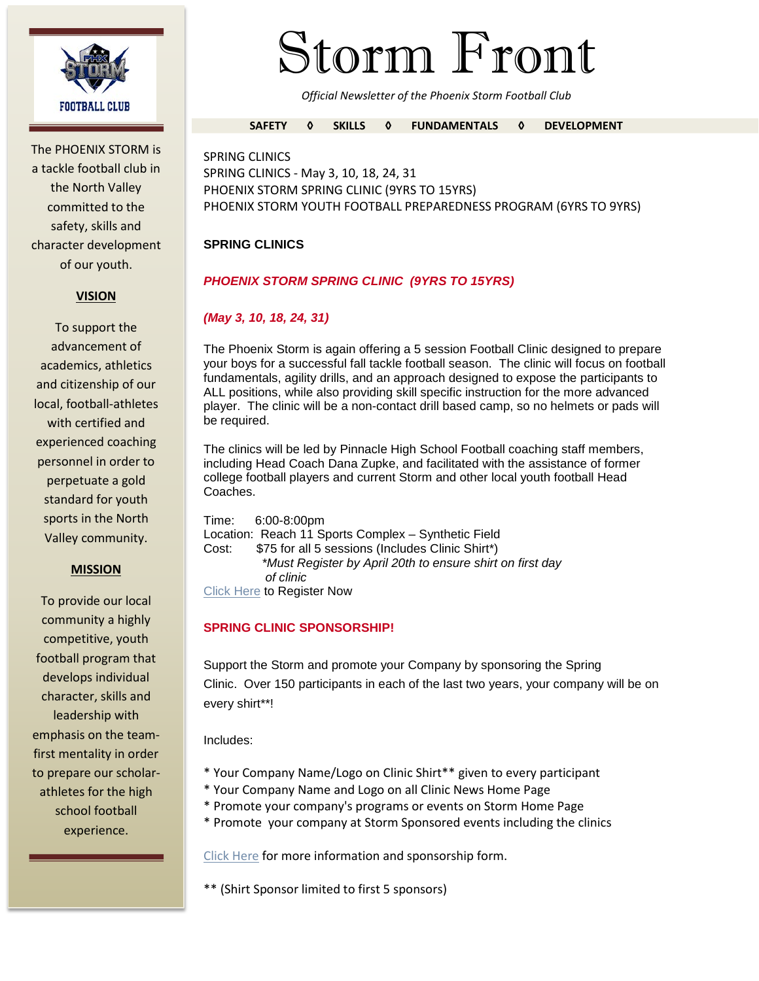

The PHOENIX STORM is a tackle football club in the North Valley committed to the safety, skills and character development of our youth.

### **VISION**

To support the advancement of academics, athletics and citizenship of our local, football-athletes with certified and experienced coaching personnel in order to perpetuate a gold standard for youth sports in the North Valley community.

#### **MISSION**

To provide our local community a highly competitive, youth football program that develops individual character, skills and leadership with emphasis on the teamfirst mentality in order to prepare our scholarathletes for the high school football experience.

# Storm Front

*Official Newsletter of the Phoenix Storm Football Club*

#### **SAFETY ◊ SKILLS ◊ FUNDAMENTALS ◊ DEVELOPMENT**

SPRING CLINICS SPRING CLINICS - May 3, 10, 18, 24, 31 PHOENIX STORM SPRING CLINIC (9YRS TO 15YRS) PHOENIX STORM YOUTH FOOTBALL PREPAREDNESS PROGRAM (6YRS TO 9YRS)

## **SPRING CLINICS**

# *PHOENIX STORM SPRING CLINIC (9YRS TO 15YRS)*

# *(May 3, 10, 18, 24, 31)*

The Phoenix Storm is again offering a 5 session Football Clinic designed to prepare your boys for a successful fall tackle football season. The clinic will focus on football fundamentals, agility drills, and an approach designed to expose the participants to ALL positions, while also providing skill specific instruction for the more advanced player. The clinic will be a non-contact drill based camp, so no helmets or pads will be required.

The clinics will be led by Pinnacle High School Football coaching staff members, including Head Coach Dana Zupke, and facilitated with the assistance of former college football players and current Storm and other local youth football Head Coaches.

Time: 6:00-8:00pm Location: Reach 11 Sports Complex – Synthetic Field Cost: \$75 for all 5 sessions (Includes Clinic Shirt\*) *\*Must Register by April 20th to ensure shirt on first day of clinic* Click Here to Register Now

## **SPRING CLINIC SPONSORSHIP!**

Support the Storm and promote your Company by sponsoring the Spring Clinic. Over 150 participants in each of the last two years, your company will be on every shirt\*\*!

Includes:

- \* Your Company Name/Logo on Clinic Shirt\*\* given to every participant
- \* Your Company Name and Logo on all Clinic News Home Page
- \* Promote your company's programs or events on Storm Home Page
- \* Promote your company at Storm Sponsored events including the clinics

Click Here for more information and sponsorship form.

\*\* (Shirt Sponsor limited to first 5 sponsors)